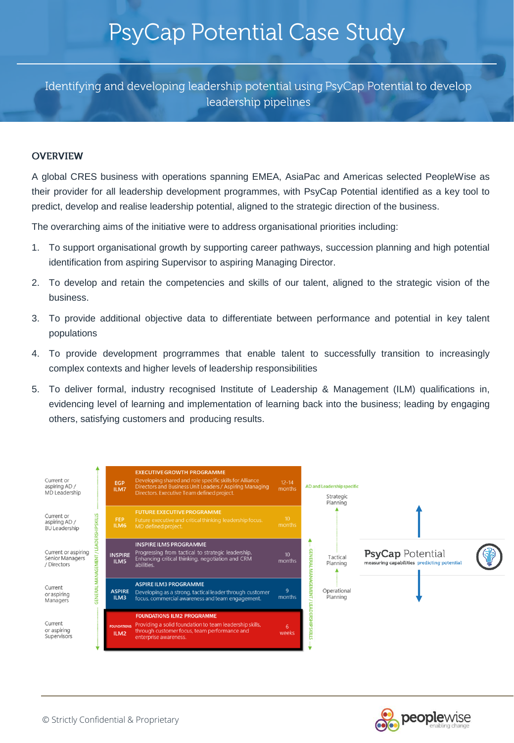Identifying and developing leadership potential using PsyCap Potential to develop leadership pipelines

#### **OVERVIEW**

A global CRES business with operations spanning EMEA, AsiaPac and Americas selected PeopleWise as their provider for all leadership development programmes, with PsyCap Potential identified as a key tool to predict, develop and realise leadership potential, aligned to the strategic direction of the business.

The overarching aims of the initiative were to address organisational priorities including:

- 1. To support organisational growth by supporting career pathways, succession planning and high potential identification from aspiring Supervisor to aspiring Managing Director.
- 2. To develop and retain the competencies and skills of our talent, aligned to the strategic vision of the business.
- 3. To provide additional objective data to differentiate between performance and potential in key talent populations
- 4. To provide development progrrammes that enable talent to successfully transition to increasingly complex contexts and higher levels of leadership responsibilities
- 5. To deliver formal, industry recognised Institute of Leadership & Management (ILM) qualifications in, evidencing level of learning and implementation of learning back into the business; leading by engaging others, satisfying customers and producing results.



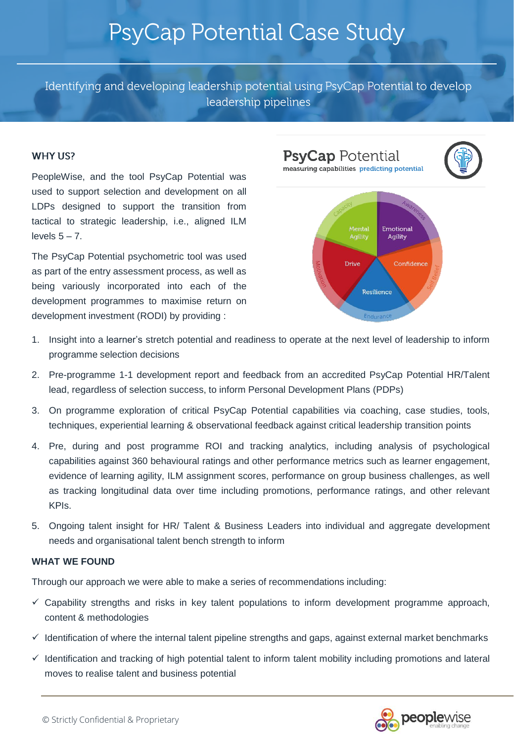Identifying and developing leadership potential using PsyCap Potential to develop leadership pipelines

#### **WHY US?**

PeopleWise, and the tool PsyCap Potential was used to support selection and development on all LDPs designed to support the transition from tactical to strategic leadership, i.e., aligned ILM levels  $5 - 7$ .

The PsyCap Potential psychometric tool was used as part of the entry assessment process, as well as being variously incorporated into each of the development programmes to maximise return on development investment (RODI) by providing :



- 1. Insight into a learner's stretch potential and readiness to operate at the next level of leadership to inform programme selection decisions
- 2. Pre-programme 1-1 development report and feedback from an accredited PsyCap Potential HR/Talent lead, regardless of selection success, to inform Personal Development Plans (PDPs)
- 3. On programme exploration of critical PsyCap Potential capabilities via coaching, case studies, tools, techniques, experiential learning & observational feedback against critical leadership transition points
- 4. Pre, during and post programme ROI and tracking analytics, including analysis of psychological capabilities against 360 behavioural ratings and other performance metrics such as learner engagement, evidence of learning agility, ILM assignment scores, performance on group business challenges, as well as tracking longitudinal data over time including promotions, performance ratings, and other relevant KPIs.
- 5. Ongoing talent insight for HR/ Talent & Business Leaders into individual and aggregate development needs and organisational talent bench strength to inform

#### **WHAT WE FOUND**

Through our approach we were able to make a series of recommendations including:

- ✓ Capability strengths and risks in key talent populations to inform development programme approach, content & methodologies
- ✓ Identification of where the internal talent pipeline strengths and gaps, against external market benchmarks
- ✓ Identification and tracking of high potential talent to inform talent mobility including promotions and lateral moves to realise talent and business potential

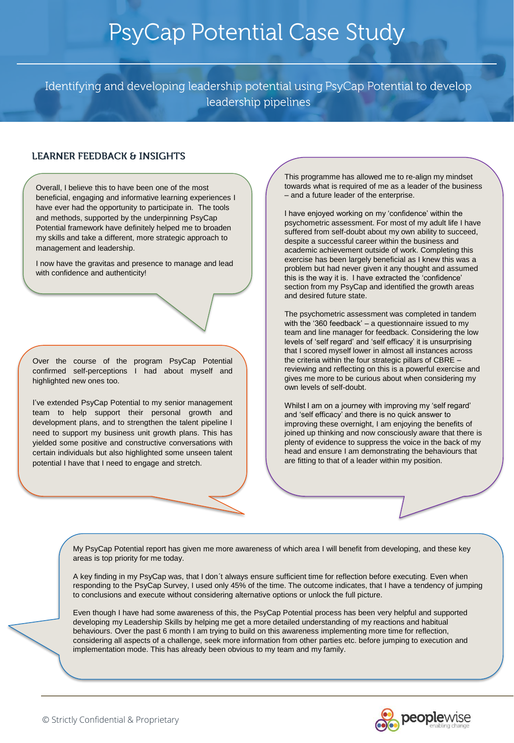Identifying and developing leadership potential using PsyCap Potential to develop leadership pipelines

### **LEARNER FEEDBACK & INSIGHTS**

Overall, I believe this to have been one of the most beneficial, engaging and informative learning experiences I have ever had the opportunity to participate in. The tools and methods, supported by the underpinning PsyCap Potential framework have definitely helped me to broaden my skills and take a different, more strategic approach to management and leadership.

I now have the gravitas and presence to manage and lead with confidence and authenticity!

Over the course of the program PsyCap Potential confirmed self-perceptions I had about myself and highlighted new ones too.

I've extended PsyCap Potential to my senior management team to help support their personal growth and development plans, and to strengthen the talent pipeline I need to support my business unit growth plans. This has yielded some positive and constructive conversations with certain individuals but also highlighted some unseen talent potential I have that I need to engage and stretch.

This programme has allowed me to re-align my mindset towards what is required of me as a leader of the business – and a future leader of the enterprise.

I have enjoyed working on my 'confidence' within the psychometric assessment. For most of my adult life I have suffered from self-doubt about my own ability to succeed, despite a successful career within the business and academic achievement outside of work. Completing this exercise has been largely beneficial as I knew this was a problem but had never given it any thought and assumed this is the way it is. I have extracted the 'confidence' section from my PsyCap and identified the growth areas and desired future state.

The psychometric assessment was completed in tandem with the '360 feedback' – a questionnaire issued to my team and line manager for feedback. Considering the low levels of 'self regard' and 'self efficacy' it is unsurprising that I scored myself lower in almost all instances across the criteria within the four strategic pillars of CBRE – reviewing and reflecting on this is a powerful exercise and gives me more to be curious about when considering my own levels of self-doubt.

Whilst I am on a journey with improving my 'self regard' and 'self efficacy' and there is no quick answer to improving these overnight, I am enjoying the benefits of joined up thinking and now consciously aware that there is plenty of evidence to suppress the voice in the back of my head and ensure I am demonstrating the behaviours that are fitting to that of a leader within my position.

My PsyCap Potential report has given me more awareness of which area I will benefit from developing, and these key areas is top priority for me today.

A key finding in my PsyCap was, that I don´t always ensure sufficient time for reflection before executing. Even when responding to the PsyCap Survey, I used only 45% of the time. The outcome indicates, that I have a tendency of jumping to conclusions and execute without considering alternative options or unlock the full picture.

Even though I have had some awareness of this, the PsyCap Potential process has been very helpful and supported developing my Leadership Skills by helping me get a more detailed understanding of my reactions and habitual behaviours. Over the past 6 month I am trying to build on this awareness implementing more time for reflection, considering all aspects of a challenge, seek more information from other parties etc. before jumping to execution and implementation mode. This has already been obvious to my team and my family.

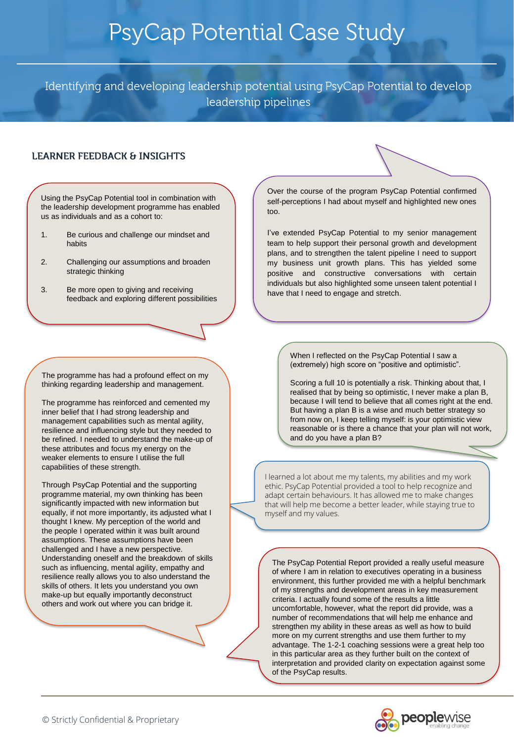Identifying and developing leadership potential using PsyCap Potential to develop leadership pipelines

### **LEARNER FEEDBACK & INSIGHTS**

Using the PsyCap Potential tool in combination with the leadership development programme has enabled us as individuals and as a cohort to:

- 1. Be curious and challenge our mindset and habits
- 2. Challenging our assumptions and broaden strategic thinking
- 3. Be more open to giving and receiving feedback and exploring different possibilities

The programme has had a profound effect on my thinking regarding leadership and management.

The programme has reinforced and cemented my inner belief that I had strong leadership and management capabilities such as mental agility, resilience and influencing style but they needed to be refined. I needed to understand the make-up of these attributes and focus my energy on the weaker elements to ensure I utilise the full capabilities of these strength.

Through PsyCap Potential and the supporting programme material, my own thinking has been significantly impacted with new information but equally, if not more importantly, its adjusted what I thought I knew. My perception of the world and the people I operated within it was built around assumptions. These assumptions have been challenged and I have a new perspective. Understanding oneself and the breakdown of skills such as influencing, mental agility, empathy and resilience really allows you to also understand the skills of others. It lets you understand you own make-up but equally importantly deconstruct others and work out where you can bridge it.

Over the course of the program PsyCap Potential confirmed self-perceptions I had about myself and highlighted new ones too.

I've extended PsyCap Potential to my senior management team to help support their personal growth and development plans, and to strengthen the talent pipeline I need to support my business unit growth plans. This has yielded some positive and constructive conversations with certain individuals but also highlighted some unseen talent potential I have that I need to engage and stretch.

> When I reflected on the PsyCap Potential I saw a (extremely) high score on "positive and optimistic".

Scoring a full 10 is potentially a risk. Thinking about that, I realised that by being so optimistic, I never make a plan B, because I will tend to believe that all comes right at the end. But having a plan B is a wise and much better strategy so from now on, I keep telling myself: is your optimistic view reasonable or is there a chance that your plan will not work, and do you have a plan B?

I learned a lot about me my talents, my abilities and my work ethic. PsyCap Potential provided a tool to help recognize and adapt certain behaviours. It has allowed me to make changes that will help me become a better leader, while staying true to myself and my values.

The PsyCap Potential Report provided a really useful measure of where I am in relation to executives operating in a business environment, this further provided me with a helpful benchmark of my strengths and development areas in key measurement criteria. I actually found some of the results a little uncomfortable, however, what the report did provide, was a number of recommendations that will help me enhance and strengthen my ability in these areas as well as how to build more on my current strengths and use them further to my advantage. The 1-2-1 coaching sessions were a great help too in this particular area as they further built on the context of interpretation and provided clarity on expectation against some of the PsyCap results.

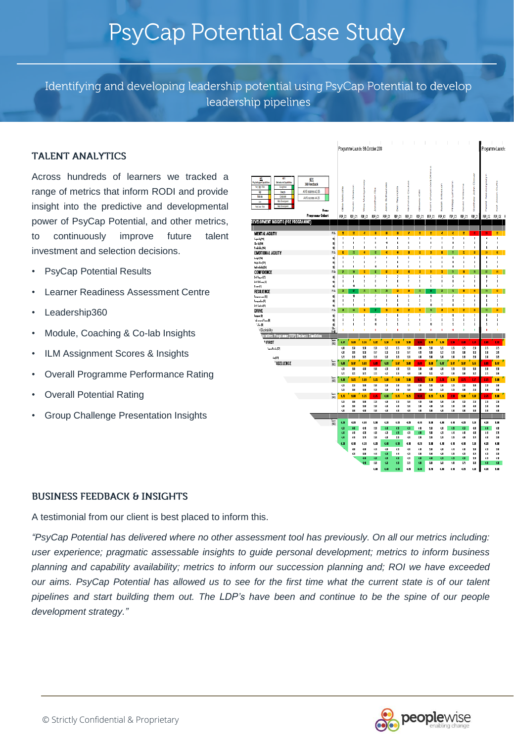Identifying and developing leadership potential using PsyCap Potential to develop leadership pipelines

#### **TALENT ANALYTICS**

Across hundreds of learners we tracked a range of metrics that inform RODI and provide insight into the predictive and developmental power of PsyCap Potential, and other metrics, to continuously improve future talent investment and selection decisions.

- PsyCap Potential Results
- Learner Readiness Assessment Centre
- Leadership360
- Module, Coaching & Co-lab Insights
- ILM Assignment Scores & Insights
- Overall Programme Performance Rating
- Overall Potential Rating
- Group Challenge Presentation Insights

|                                                                                                                                                                                                                                                                                                                  |                              | $\overline{\phantom{a}}$<br>Programme Launch: 9th October 2018 |                     |                                 |                 |                      |                             |                   |                        |                          |                               |                         |                  | Programme Launch: |                         |  |
|------------------------------------------------------------------------------------------------------------------------------------------------------------------------------------------------------------------------------------------------------------------------------------------------------------------|------------------------------|----------------------------------------------------------------|---------------------|---------------------------------|-----------------|----------------------|-----------------------------|-------------------|------------------------|--------------------------|-------------------------------|-------------------------|------------------|-------------------|-------------------------|--|
| W<br>K)<br>ЦY:<br>Psychological Created des<br><b>Inharitant Opabilities</b><br>360 Feedback<br>Gustina<br>Wry Hph Risk<br>AVG scores ≤ 2.85<br>脚<br><b>Sept</b><br>100/10<br>Corport<br>AVG scores a4.25<br><b>Indianaport</b><br>lar<br><b>Ibio Cavatoriet</b><br>Wytar Rob<br><b>None</b><br>Programma Cohart | Metacatfo<br>å               | ð<br>ś                                                         | š<br>١              | Ě<br>of Patrick<br>ļ            | Schwal<br>n     | j<br>č<br>ť          | j<br>g<br>7<br>ý            | ā<br>g<br>ō       | (Parvinder) Dhina<br>ļ | Ě<br>ś<br>d              | ţ<br>ed internet              | Į<br>þ<br>ð             | å<br>Į           | CHANGES OF        | J<br>ī                  |  |
| DEVELOPMENT INSIGHTS (PRE PROGRAMME)                                                                                                                                                                                                                                                                             | FEP C1                       | FEP_01                                                         | FEP C1              | FEP 01                          | FEP C1          | FEP_01               | FEP_01                      | FEP_01            | FEP_01                 | FEP_01                   | FEP_01                        | FEP_01                  | FEP 01           | FEP_02            | $FP_2@$                 |  |
|                                                                                                                                                                                                                                                                                                                  |                              |                                                                |                     |                                 |                 |                      |                             |                   |                        |                          |                               |                         |                  |                   |                         |  |
| <b>MENTAL AGILITY</b>                                                                                                                                                                                                                                                                                            | FtL<br>$\mathbf{R}$<br>ī     | ×<br>×                                                         | $\mathbf{0}$        | n<br>ţ.                         | n<br>ī          | W.<br>¢,             | $\boldsymbol{v}$<br>Ŧ       | В<br>f,           | $\mathbf{R}$<br>٠      | ø<br>и                   | ø<br>ł.                       | g.<br>Ŧ                 | B.<br>J.         | $\mathbf{u}$      | R<br>Ŧ                  |  |
| [10] والسودة<br>$Cl_4$ (Hi)                                                                                                                                                                                                                                                                                      | 1Iİ<br>11j<br>f.             | ı                                                              | s<br>×              | Ï                               | 41              | ł                    | J.                          | ×                 | ı                      | J                        | I.                            | f                       | ×                | ٠<br>,            | J.                      |  |
| Na325 [80]<br><b>EMOTIONAL AGILITY</b>                                                                                                                                                                                                                                                                           | ,<br>11j<br>FIL.<br>Ħ        | ٠<br>$\boldsymbol{n}$                                          | $\blacksquare$<br>Ĥ | ł<br>n                          | r<br>ö          | š,<br>$\mathfrak{m}$ | f,<br>$\mathbf{u}$          | ,<br>$\mathbf{u}$ | ,<br>n                 | f,<br>n                  | ı<br>n                        | J.<br>n                 | ł<br>n           | t<br>R.           | ٠<br>¢                  |  |
| haight [Cit]                                                                                                                                                                                                                                                                                                     | ١ij<br>ť                     | Ţ                                                              | s                   | ī                               | ł               | ţ                    | Ŧ                           | x                 | Ŧ                      | ٠                        | ī                             | ī                       | ٠                | ï                 | ī                       |  |
| إفكار مشاويلة                                                                                                                                                                                                                                                                                                    | 11<br>š<br>١Ú<br>۱           | ı,<br>ı                                                        | f<br>ł              | Ž<br>11                         | š<br>Ï          | f<br>ţ               | 1<br>ł,                     | ,<br>f            | f<br>f                 | f,<br>f,                 | ı<br>ï                        | f<br>ł                  | t.<br>ł,         | f<br>š            | 4<br>f,                 |  |
| إفكارة شمامة<br>CONFIDENCE                                                                                                                                                                                                                                                                                       | FEL.<br>Ħ                    | M                                                              | и                   | R                               | n               | n                    | ø                           | ø                 | R                      | ø                        | Ħ                             | R                       | N                | n                 | H                       |  |
| Siffront(C)                                                                                                                                                                                                                                                                                                      | 11j<br>f.<br>f,              | 1<br>I,                                                        | ţ<br>ţ.             | ı<br>ţ.                         | ï<br>Ï          | ï<br>ţ               | ł.<br>1                     | Ŧ<br>ł,           | ī<br>ı                 | ı<br>ı                   | ı<br>ï                        | ţ<br>Ò                  | t.<br>f,         | ٠<br>ı            | Ŧ<br>f,                 |  |
| SHERRough!<br> } سىلا                                                                                                                                                                                                                                                                                            | 帅<br>f.<br>4Ĥ                | ø                                                              | š.                  | ı                               | ¢               | ţ                    | f.                          | f,                | f.                     | f.                       | ı                             | f.                      | ٠                | f.                | f.                      |  |
| <b>RESILIENCE</b>                                                                                                                                                                                                                                                                                                | FIL.<br>Ħ                    | ø                                                              | n                   | N                               | n               | ø                    | π                           | n                 | n                      | n                        | N                             | n                       | ű                | N                 | ø                       |  |
| Processor R<br>Program R                                                                                                                                                                                                                                                                                         | 11j<br>٠<br>1Iİ<br>٠         | <b>g</b><br>×                                                  | ,<br>۶              | ž<br>ź                          | ź<br>ı          | ¢,<br>¢              | s,<br>×                     | п<br>f,           | 4<br>f,                | п<br>ı                   | ,<br>ı.                       | f.<br>J.                | ×<br>٠           | f.<br>f,          | ł.<br>f.                |  |
| SHCubal(R)                                                                                                                                                                                                                                                                                                       | 7<br>4Ĥ                      | J.                                                             | f,                  | Ï                               | 2               | f,                   | f,                          | ,                 | ű                      | f.                       | ï                             | ÷                       | s                | f,                | f.                      |  |
| DRIVE<br>Paryase [1]                                                                                                                                                                                                                                                                                             | rn.<br>n<br>1ij<br>1         | R<br>ł                                                         | ģ.<br>٢             | 'n<br>7                         | я<br>ı          | <b>a</b><br>ī        | $\overline{n}$<br>$\lambda$ | $\boldsymbol{n}$  | 1                      | n<br>,                   | Ħ<br>1                        | n<br>f                  | n<br>ı           | ĸ<br>Ï            | M<br>ł,                 |  |
| diment from [1]                                                                                                                                                                                                                                                                                                  | 11İ<br>ť                     | ï                                                              | ţ                   | 11                              | ş               | ţ                    | 1                           | ٠                 | 1                      | f,                       | î                             | f                       | \$               | ţ                 | f                       |  |
| Via Di<br>N Desirability                                                                                                                                                                                                                                                                                         | ۱Ú<br>Ž<br>$\frac{a_n}{b}$   | ı<br>t                                                         | ś                   | 11<br>ï                         | ś<br>ý          | ś<br>ï               | ţ,<br>ł                     | f,<br>ı           | 1<br>Ï                 | ţ,<br>ï                  | ł<br>4                        | ł<br>ı                  | f,<br>ı          | ś<br>ï            | ł<br>ı                  |  |
| ecutives Programme (FEP)<br><b>Business Sinulation</b>                                                                                                                                                                                                                                                           |                              |                                                                |                     |                                 |                 |                      |                             |                   |                        |                          |                               |                         |                  |                   |                         |  |
| * FIRST                                                                                                                                                                                                                                                                                                          | 冨<br>t.n                     | 121                                                            | 1.33                | 1.22                            | 1.51            | LП                   | 1.33                        | 1.31              | 1.33                   | 1.21                     | zм                            | t.m                     | 1.71             | t.B               | $\overline{\mathbf{m}}$ |  |
| San Britis [C]                                                                                                                                                                                                                                                                                                   | $\overline{u}$               | 1.9<br><b>M</b>                                                | 19                  | 19<br>19                        | 18              | 18                   | 13<br>19                    | ш                 | 15                     | 121                      | $\overline{u}$                | $\overline{u}$          | 29               | 25                | m                       |  |
| $\frac{1}{2}$                                                                                                                                                                                                                                                                                                    | œ<br>18                      | 1.13                                                           | tи<br>w             | 10                              | 19<br>m         | 19<br>10             | 13                          | 131<br>ŧШ         | ш<br>Ш                 | 151<br>Ш                 | 1.11<br>Ш                     | ш<br>1/3                | 19<br>ZM.        | ш<br>żΗ           | t.<br>w                 |  |
| Sunt<br>1981<br><b>TECLLENCE</b>                                                                                                                                                                                                                                                                                 | <b>CHI</b>                   | 1.0                                                            | 1.0                 | 1.11                            | 0.32            | 1.17                 | 1.11                        | t.m               | 1.51                   | $1.9^{\circ}$            | 1.0                           | 1.17                    | 1.47             | 1.11              | 1.9                     |  |
|                                                                                                                                                                                                                                                                                                                  | <b>GI</b><br>18              | Ш<br>135                                                       | $\mathbf{u}$<br>18  | Ш<br>tn.                        | œ<br>œ          | $\mathbf{u}$<br>13   | 13<br>$\mathbf{u}$          | а<br>$\mathbf{u}$ | $\mathbf{u}$<br>18     | $\mathbf{u}$<br>$\alpha$ | 151<br>Ш                      | <b>M</b><br>M.          | ш<br>18          | Ш<br>15           | 15<br>Ш                 |  |
| ing<br>19                                                                                                                                                                                                                                                                                                        | <b>CHI</b>                   | 1.8                                                            | 1.00                | 1.8                             | 1.II            | 1.II                 | <b>LII</b>                  | 1.75              | 1.51                   | 1.8                      | 1.51                          | 1.15                    | 1.75             | 1.75              | <b>LII</b>              |  |
|                                                                                                                                                                                                                                                                                                                  | œ                            | 1.31                                                           | ÅШ                  | ш                               | ш               | Ш                    | m                           | 15                | 13                     | $\overline{\mathbf{u}}$  | 151                           | $\overline{\mathbf{a}}$ | 皿                | 29                | Ш                       |  |
|                                                                                                                                                                                                                                                                                                                  | 19                           | Ш                                                              | Ш                   | 19                              | Ш               | Ш                    | ш                           | Ш                 | 15                     | 15                       | 151                           | Ш                       | 25               | Ш                 | Ш                       |  |
| 罰                                                                                                                                                                                                                                                                                                                | LB.<br>15                    | <b>LII</b><br>1.01                                             | 1.8<br>皿            | 1.75<br>$\overline{\mathbf{z}}$ | <b>CHI</b><br>Œ | 1.75<br>13           | 1.25<br>m                   | 1.31<br>15        | 1.8<br>Ш               | 1.8<br>m                 | LH<br>$\overline{\mathbf{u}}$ | 1.11<br><b>M</b>        | <b>LII</b><br>29 | 1.75<br>2SI       | Ш<br>m                  |  |
|                                                                                                                                                                                                                                                                                                                  | $\mathbf{u}$                 | Ш                                                              | Ш                   | Ш                               | œ               | œ                    | ш                           | ш                 | $\mathbf{u}$           | ш                        | Ш                             | Ш                       | Œ                | ш                 | Ш                       |  |
|                                                                                                                                                                                                                                                                                                                  | $\mathbf{u}$                 | IJ                                                             | $\mathbf{u}$        | îШ                              | œ               | $\mathbf{u}$         | œ                           | tШ                | Ш                      | $\mathbf{u}$             | Ш                             | IJ                      | Ш                | ш                 | $\mathbf{u}$            |  |
| Sunt<br>1981                                                                                                                                                                                                                                                                                                     | t.si                         | $\overline{a}$                                                 | $\overline{a}$      | 1.31                            | $_{\alpha}$     | $\mathbf{a}$         | $\overline{a}$              | t.u               | 1.51                   | t.II                     | 4.41                          | $\alpha$                | 1.11             | $\mathbf{a}$      | <b>J.H</b>              |  |
|                                                                                                                                                                                                                                                                                                                  | $\mathbf{u}$                 | ω                                                              | œ                   | 13                              | œ               | œ                    | G)                          | $\overline{1}$    | ш                      | $\mathbf{u}$             | <b>GIL</b>                    | ω,                      | Œ                | α                 | $\mathbf{u}$            |  |
|                                                                                                                                                                                                                                                                                                                  | $\mathbf{u}$<br>$\mathbf{u}$ | 641<br>GH.                                                     | œ<br>1.N            | Œ<br>ΣH                         | œ<br>Œ          | $\alpha$<br>13       | $^{a}$<br>$\mathbf{u}$      | <b>GI</b><br>13   | Ш<br>13                | 421<br>1.31              | 4.41<br>1.31                  | <b>CH</b><br><b>CH</b>  | Œ<br>1N          | G<br>$\mathbf{u}$ | 171<br>Ш                |  |
|                                                                                                                                                                                                                                                                                                                  | Ġ.                           | 641                                                            | $\overline{a}$      | $\overline{a}$                  | cα              | ¢π                   | t.II                        | $^{1.21}$         | 1.11                   | 6.41                     | 4.41                          | 6.01                    | J.Ш              | $\overline{a}$    | $\overline{a}$          |  |
|                                                                                                                                                                                                                                                                                                                  |                              | ωı                                                             | œ                   | ά                               | $\overline{a}$  | $^{a}$               | $\mathbf{u}$                | $\overline{a}$    | ш                      | $\mathbf{u}$             | ω                             | ω                       | ăШ               | $\alpha$          | Ш                       |  |
|                                                                                                                                                                                                                                                                                                                  |                              | ω                                                              | ΩH<br>$\mathbf{u}$  | <b>G</b><br>œ                   | œ<br>œ          | <b>CI</b><br>œ       | $^{a}$<br>$\alpha$          | ш<br><b>GI</b>    | 14<br>M                | $\mathbf{u}$<br>631      | 1.31<br>631                   | u.<br>Ġ.                | 18<br>îЯ         | œ<br>ά            | 18<br>ŧΠ                |  |
|                                                                                                                                                                                                                                                                                                                  |                              |                                                                | $\mathbf{u}$        | 13                              | œ               | œ                    | 17                          | G                 | 13                     | 151                      | Œ                             | M                       | 13               | ū                 | ω                       |  |
|                                                                                                                                                                                                                                                                                                                  |                              |                                                                |                     |                                 |                 |                      |                             |                   |                        |                          |                               |                         |                  |                   |                         |  |

#### **BUSINESS FEEDBACK & INSIGHTS**

A testimonial from our client is best placed to inform this.

*"PsyCap Potential has delivered where no other assessment tool has previously. On all our metrics including: user experience; pragmatic assessable insights to guide personal development; metrics to inform business planning and capability availability; metrics to inform our succession planning and; ROI we have exceeded* our aims. PsyCap Potential has allowed us to see for the first time what the current state is of our talent pipelines and start building them out. The LDP's have been and continue to be the spine of our people *development strategy."*